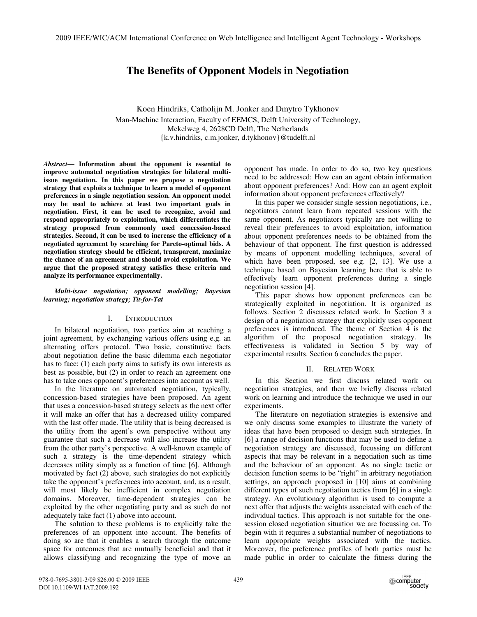# **The Benefits of Opponent Models in Negotiation**

Koen Hindriks, Catholijn M. Jonker and Dmytro Tykhonov Man-Machine Interaction, Faculty of EEMCS, Delft University of Technology, Mekelweg 4, 2628CD Delft, The Netherlands {k.v.hindriks, c.m.jonker, d.tykhonov}@tudelft.nl

*Abstract***— Information about the opponent is essential to improve automated negotiation strategies for bilateral multiissue negotiation. In this paper we propose a negotiation strategy that exploits a technique to learn a model of opponent preferences in a single negotiation session. An opponent model may be used to achieve at least two important goals in negotiation. First, it can be used to recognize, avoid and respond appropriately to exploitation, which differentiates the strategy proposed from commonly used concession-based strategies. Second, it can be used to increase the efficiency of a negotiated agreement by searching for Pareto-optimal bids. A negotiation strategy should be efficient, transparent, maximize the chance of an agreement and should avoid exploitation. We argue that the proposed strategy satisfies these criteria and analyze its performance experimentally.** 

#### *Multi-issue negotiation; opponent modelling; Bayesian learning; negotiation strategy; Tit-for-Tat*

## I. INTRODUCTION

In bilateral negotiation, two parties aim at reaching a joint agreement, by exchanging various offers using e.g. an alternating offers protocol. Two basic, constitutive facts about negotiation define the basic dilemma each negotiator has to face: (1) each party aims to satisfy its own interests as best as possible, but (2) in order to reach an agreement one has to take ones opponent's preferences into account as well.

In the literature on automated negotiation, typically, concession-based strategies have been proposed. An agent that uses a concession-based strategy selects as the next offer it will make an offer that has a decreased utility compared with the last offer made. The utility that is being decreased is the utility from the agent's own perspective without any guarantee that such a decrease will also increase the utility from the other party's perspective. A well-known example of such a strategy is the time-dependent strategy which decreases utility simply as a function of time [6]. Although motivated by fact (2) above, such strategies do not explicitly take the opponent's preferences into account, and, as a result, will most likely be inefficient in complex negotiation domains. Moreover, time-dependent strategies can be exploited by the other negotiating party and as such do not adequately take fact (1) above into account.

The solution to these problems is to explicitly take the preferences of an opponent into account. The benefits of doing so are that it enables a search through the outcome space for outcomes that are mutually beneficial and that it allows classifying and recognizing the type of move an opponent has made. In order to do so, two key questions need to be addressed: How can an agent obtain information about opponent preferences? And: How can an agent exploit information about opponent preferences effectively?

In this paper we consider single session negotiations, i.e., negotiators cannot learn from repeated sessions with the same opponent. As negotiators typically are not willing to reveal their preferences to avoid exploitation, information about opponent preferences needs to be obtained from the behaviour of that opponent. The first question is addressed by means of opponent modelling techniques, several of which have been proposed, see e.g. [2, 13]. We use a technique based on Bayesian learning here that is able to effectively learn opponent preferences during a single negotiation session [4].

This paper shows how opponent preferences can be strategically exploited in negotiation. It is organized as follows. Section 2 discusses related work. In Section 3 a design of a negotiation strategy that explicitly uses opponent preferences is introduced. The theme of Section 4 is the algorithm of the proposed negotiation strategy. Its effectiveness is validated in Section 5 by way of experimental results. Section 6 concludes the paper.

# II. RELATED WORK

In this Section we first discuss related work on negotiation strategies, and then we briefly discuss related work on learning and introduce the technique we used in our experiments.

The literature on negotiation strategies is extensive and we only discuss some examples to illustrate the variety of ideas that have been proposed to design such strategies. In [6] a range of decision functions that may be used to define a negotiation strategy are discussed, focussing on different aspects that may be relevant in a negotiation such as time and the behaviour of an opponent. As no single tactic or decision function seems to be "right" in arbitrary negotiation settings, an approach proposed in [10] aims at combining different types of such negotiation tactics from [6] in a single strategy. An evolutionary algorithm is used to compute a next offer that adjusts the weights associated with each of the individual tactics. This approach is not suitable for the onesession closed negotiation situation we are focussing on. To begin with it requires a substantial number of negotiations to learn appropriate weights associated with the tactics. Moreover, the preference profiles of both parties must be made public in order to calculate the fitness during the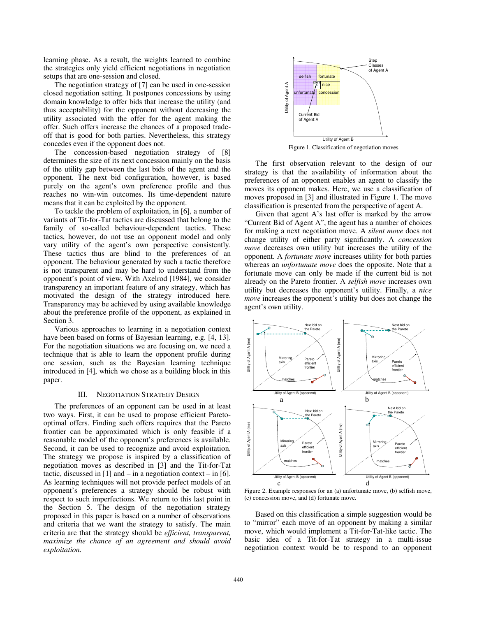learning phase. As a result, the weights learned to combine the strategies only yield efficient negotiations in negotiation setups that are one-session and closed.

The negotiation strategy of [7] can be used in one-session closed negotiation setting. It postpones concessions by using domain knowledge to offer bids that increase the utility (and thus acceptability) for the opponent without decreasing the utility associated with the offer for the agent making the offer. Such offers increase the chances of a proposed tradeoff that is good for both parties. Nevertheless, this strategy concedes even if the opponent does not.

The concession-based negotiation strategy of [8] determines the size of its next concession mainly on the basis of the utility gap between the last bids of the agent and the opponent. The next bid configuration, however, is based purely on the agent's own preference profile and thus reaches no win-win outcomes. Its time-dependent nature means that it can be exploited by the opponent.

To tackle the problem of exploitation, in [6], a number of variants of Tit-for-Tat tactics are discussed that belong to the family of so-called behaviour-dependent tactics. These tactics, however, do not use an opponent model and only vary utility of the agent's own perspective consistently. These tactics thus are blind to the preferences of an opponent. The behaviour generated by such a tactic therefore is not transparent and may be hard to understand from the opponent's point of view. With Axelrod [1984], we consider transparency an important feature of any strategy, which has motivated the design of the strategy introduced here. Transparency may be achieved by using available knowledge about the preference profile of the opponent, as explained in Section 3.

Various approaches to learning in a negotiation context have been based on forms of Bayesian learning, e.g. [4, 13]. For the negotiation situations we are focusing on, we need a technique that is able to learn the opponent profile during one session, such as the Bayesian learning technique introduced in [4], which we chose as a building block in this paper.

#### III. NEGOTIATION STRATEGY DESIGN

The preferences of an opponent can be used in at least two ways. First, it can be used to propose efficient Paretooptimal offers. Finding such offers requires that the Pareto frontier can be approximated which is only feasible if a reasonable model of the opponent's preferences is available. Second, it can be used to recognize and avoid exploitation. The strategy we propose is inspired by a classification of negotiation moves as described in [3] and the Tit-for-Tat tactic, discussed in [1] and – in a negotiation context – in [6]. As learning techniques will not provide perfect models of an opponent's preferences a strategy should be robust with respect to such imperfections. We return to this last point in the Section 5. The design of the negotiation strategy proposed in this paper is based on a number of observations and criteria that we want the strategy to satisfy. The main criteria are that the strategy should be *efficient, transparent, maximize the chance of an agreement and should avoid exploitation.* 



Figure 1. Classification of negotiation moves

The first observation relevant to the design of our strategy is that the availability of information about the preferences of an opponent enables an agent to classify the moves its opponent makes. Here, we use a classification of moves proposed in [3] and illustrated in Figure 1. The move classification is presented from the perspective of agent A.

Given that agent A's last offer is marked by the arrow "Current Bid of Agent A", the agent has a number of choices for making a next negotiation move. A *silent move* does not change utility of either party significantly. A *concession move* decreases own utility but increases the utility of the opponent. A *fortunate move* increases utility for both parties whereas an *unfortunate move* does the opposite. Note that a fortunate move can only be made if the current bid is not already on the Pareto frontier. A *selfish move* increases own utility but decreases the opponent's utility. Finally, a *nice move* increases the opponent's utility but does not change the agent's own utility.



Figure 2. Example responses for an (a) unfortunate move, (b) selfish move, (c) concession move, and (d) fortunate move.

Based on this classification a simple suggestion would be to "mirror" each move of an opponent by making a similar move, which would implement a Tit-for-Tat-like tactic. The basic idea of a Tit-for-Tat strategy in a multi-issue negotiation context would be to respond to an opponent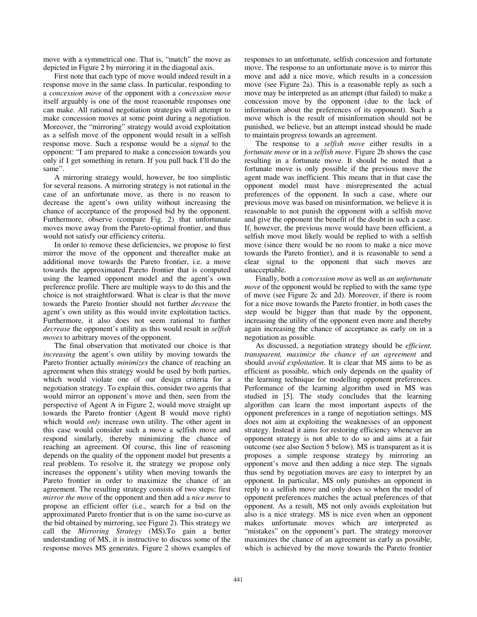move with a symmetrical one. That is, "match" the move as depicted in Figure 2 by mirroring it in the diagonal axis.

First note that each type of move would indeed result in a response move in the same class. In particular, responding to a *concession move* of the opponent with a *concession move* itself arguably is one of the most reasonable responses one can make. All rational negotiation strategies will attempt to make concession moves at some point during a negotiation. Moreover, the "mirroring" strategy would avoid exploitation as a selfish move of the opponent would result in a selfish response move. Such a response would be a *signal* to the opponent: "I am prepared to make a concession towards you only if I get something in return. If you pull back I'll do the same".

A mirroring strategy would, however, be too simplistic for several reasons. A mirroring strategy is not rational in the case of an unfortunate move, as there is no reason to decrease the agent's own utility without increasing the chance of acceptance of the proposed bid by the opponent. Furthermore, observe (compare Fig. 2) that unfortunate moves move away from the Pareto-optimal frontier, and thus would not satisfy our efficiency criteria.

In order to remove these deficiencies, we propose to first mirror the move of the opponent and thereafter make an additional move towards the Pareto frontier, i.e. a move towards the approximated Pareto frontier that is computed using the learned opponent model and the agent's own preference profile. There are multiple ways to do this and the choice is not straightforward. What is clear is that the move towards the Pareto frontier should not further *decrease* the agent's own utility as this would invite exploitation tactics. Furthermore, it also does not seem rational to further *decrease* the opponent's utility as this would result in *selfish moves* to arbitrary moves of the opponent.

The final observation that motivated our choice is that *increasing* the agent's own utility by moving towards the Pareto frontier actually *minimizes* the chance of reaching an agreement when this strategy would be used by both parties, which would violate one of our design criteria for a negotiation strategy. To explain this, consider two agents that would mirror an opponent's move and then, seen from the perspective of Agent A in Figure 2, would move straight up towards the Pareto frontier (Agent B would move right) which would *only* increase own utility. The other agent in this case would consider such a move a selfish move and respond similarly, thereby minimizing the chance of reaching an agreement. Of course, this line of reasoning depends on the quality of the opponent model but presents a real problem. To resolve it, the strategy we propose only increases the opponent's utility when moving towards the Pareto frontier in order to maximize the chance of an agreement. The resulting strategy consists of two steps: first *mirror the move* of the opponent and then add a *nice move* to propose an efficient offer (i.e., search for a bid on the approximated Pareto frontier that is on the same iso-curve as the bid obtained by mirroring, see Figure 2). This strategy we call the *Mirroring Strategy* (MS).To gain a better understanding of MS, it is instructive to discuss some of the response moves MS generates. Figure 2 shows examples of

responses to an unfortunate, selfish concession and fortunate move. The response to an unfortunate move is to mirror this move and add a nice move, which results in a concession move (see Figure 2a). This is a reasonable reply as such a move may be interpreted as an attempt (that failed) to make a concession move by the opponent (due to the lack of information about the preferences of its opponent). Such a move which is the result of misinformation should not be punished, we believe, but an attempt instead should be made to maintain progress towards an agreement.

The response to a *selfish move* either results in a *fortunate move* or in a *selfish move*. Figure 2b shows the case resulting in a fortunate move. It should be noted that a fortunate move is only possible if the previous move the agent made was inefficient. This means that in that case the opponent model must have misrepresented the actual preferences of the opponent. In such a case, where our previous move was based on misinformation, we believe it is reasonable to not punish the opponent with a selfish move and give the opponent the benefit of the doubt in such a case. If, however, the previous move would have been efficient, a selfish move most likely would be replied to with a selfish move (since there would be no room to make a nice move towards the Pareto frontier), and it is reasonable to send a clear signal to the opponent that such moves are unacceptable.

Finally, both a *concession move* as well as *an unfortunate move* of the opponent would be replied to with the same type of move (see Figure 2c and 2d). Moreover, if there is room for a nice move towards the Pareto frontier, in both cases the step would be bigger than that made by the opponent, increasing the utility of the opponent even more and thereby again increasing the chance of acceptance as early on in a negotiation as possible.

As discussed, a negotiation strategy should be *efficient, transparent, maximize the chance of an agreement* and should *avoid exploitation*. It is clear that MS aims to be as efficient as possible, which only depends on the quality of the learning technique for modelling opponent preferences. Performance of the learning algorithm used in MS was studied in [5]. The study concludes that the learning algorithm can learn the most important aspects of the opponent preferences in a range of negotiation settings. MS does not aim at exploiting the weaknesses of an opponent strategy. Instead it aims for restoring efficiency whenever an opponent strategy is not able to do so and aims at a fair outcome (see also Section 5 below). MS is transparent as it is proposes a simple response strategy by mirroring an opponent's move and then adding a nice step. The signals thus send by negotiation moves are easy to interpret by an opponent. In particular, MS only punishes an opponent in reply to a selfish move and only does so when the model of opponent preferences matches the actual preferences of that opponent. As a result, MS not only avoids exploitation but also is a nice strategy. MS is nice even when an opponent makes unfortunate moves which are interpreted as "mistakes" on the opponent's part. The strategy moreover maximizes the chance of an agreement as early as possible, which is achieved by the move towards the Pareto frontier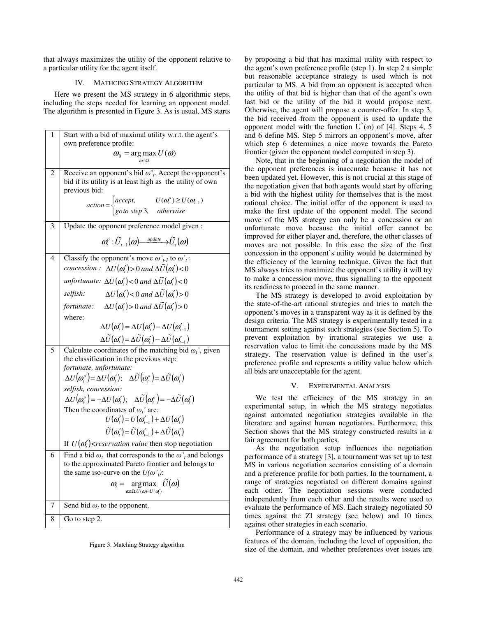that always maximizes the utility of the opponent relative to a particular utility for the agent itself.

## IV. MATHCING STRATEGY ALGORITHM

Here we present the MS strategy in 6 algorithmic steps, including the steps needed for learning an opponent model. The algorithm is presented in Figure 3. As is usual, MS starts

| 1              | Start with a bid of maximal utility w.r.t. the agent's<br>own preference profile:                                                |
|----------------|----------------------------------------------------------------------------------------------------------------------------------|
|                |                                                                                                                                  |
|                | $\omega_0$ = arg max $U(\omega)$                                                                                                 |
| 2              | Receive an opponent's bid $\omega^o$ . Accept the opponent's                                                                     |
|                | bid if its utility is at least high as the utility of own                                                                        |
|                | previous bid:                                                                                                                    |
|                |                                                                                                                                  |
|                | $action = \begin{cases} accept, & U(\omega_i^o) \ge U(\omega_{i-1}) \\ go to step 3, & otherwise \end{cases}$                    |
| 3              | Update the opponent preference model given :                                                                                     |
|                | $\omega_t^o: \widetilde{U}_{t-1}(\omega) \longrightarrow \widetilde{U}_{t}(\omega)$                                              |
| $\overline{4}$ | Classify the opponent's move $\omega_{t-1}$ to $\omega_t$ :                                                                      |
|                | concession : $\Delta U(\omega) > 0$ and $\Delta \tilde{U}(\omega) < 0$                                                           |
|                | unfortunate: $\Delta U(\omega) < 0$ and $\Delta \tilde{U}(\omega) < 0$                                                           |
|                | $\Delta U(\omega') < 0$ and $\Delta \tilde{U}(\omega') > 0$<br>selfish:                                                          |
|                | $\Delta U(\omega) > 0$ and $\Delta \tilde{U}(\omega) > 0$<br>fortunate:                                                          |
|                | where:                                                                                                                           |
|                | $\Delta U(\omega') = \Delta U(\omega') - \Delta U(\omega'_{t-1})$                                                                |
|                | $\Delta \widetilde{U}(\omega') = \Delta \widetilde{U}(\omega') - \Delta \widetilde{U}(\omega'_{i-1})$                            |
| 5              | Calculate coordinates of the matching bid $\omega_t$ ', given                                                                    |
|                | the classification in the previous step:                                                                                         |
|                | fortunate, unfortunate:                                                                                                          |
|                | $\Delta U(\omega_i^o) = \Delta U(\omega_i^{\prime}); \quad \Delta \tilde{U}(\omega_i^o) = \Delta \tilde{U}(\omega_i^{\prime})$   |
|                | selfish, concession:                                                                                                             |
|                | $\Delta U(\omega_i^o) = -\Delta U(\omega_i^{\prime}); \quad \Delta \tilde{U}(\omega_i^o) = -\Delta \tilde{U}(\omega_i^{\prime})$ |
|                | Then the coordinates of $\omega_t$ ' are:                                                                                        |
|                | $U(\omega'_t) = U(\omega'_{t-1}) + \Delta U(\omega'_t)$                                                                          |
|                | $\widetilde{U}(\omega') = \widetilde{U}(\omega'_{i-1}) + \Delta \widetilde{U}(\omega')$                                          |
|                | If $U(\omega)$ <i><reservation i="" value<=""> then stop negotiation</reservation></i>                                           |
| 6              | Find a bid $\omega_t$ that corresponds to the $\omega_t$ and belongs                                                             |
|                | to the approximated Pareto frontier and belongs to<br>the same iso-curve on the $U(\omega'_t)$ :                                 |
|                |                                                                                                                                  |
|                | $\omega_t = \operatorname*{argmax}_{\omega \in \Omega, U(\omega) = U(\omega_t)} \widetilde{U}(\omega)$                           |
| 7              | Send bid $\omega_t$ to the opponent.                                                                                             |
| 8              | Go to step $2$ .                                                                                                                 |
|                |                                                                                                                                  |



by proposing a bid that has maximal utility with respect to the agent's own preference profile (step 1). In step 2 a simple but reasonable acceptance strategy is used which is not particular to MS. A bid from an opponent is accepted when the utility of that bid is higher than that of the agent's own last bid or the utility of the bid it would propose next. Otherwise, the agent will propose a counter-offer. In step 3, the bid received from the opponent is used to update the opponent model with the function  $\overline{U}(0)$  of [4]. Steps 4, 5 and 6 define MS. Step 5 mirrors an opponent's move, after which step 6 determines a nice move towards the Pareto frontier (given the opponent model computed in step 3).

Note, that in the beginning of a negotiation the model of the opponent preferences is inaccurate because it has not been updated yet. However, this is not crucial at this stage of the negotiation given that both agents would start by offering a bid with the highest utility for themselves that is the most rational choice. The initial offer of the opponent is used to make the first update of the opponent model. The second move of the MS strategy can only be a concession or an unfortunate move because the initial offer cannot be improved for either player and, therefore, the other classes of moves are not possible. In this case the size of the first concession in the opponent's utility would be determined by the efficiency of the learning technique. Given the fact that MS always tries to maximize the opponent's utility it will try to make a concession move, thus signalling to the opponent its readiness to proceed in the same manner.

The MS strategy is developed to avoid exploitation by the state-of-the-art rational strategies and tries to match the opponent's moves in a transparent way as it is defined by the design criteria. The MS strategy is experimentally tested in a tournament setting against such strategies (see Section 5). To prevent exploitation by irrational strategies we use a reservation value to limit the concessions made by the MS strategy. The reservation value is defined in the user's preference profile and represents a utility value below which all bids are unacceptable for the agent.

## V. EXPERIMENTAL ANALYSIS

We test the efficiency of the MS strategy in an experimental setup, in which the MS strategy negotiates against automated negotiation strategies available in the literature and against human negotiators. Furthermore, this Section shows that the MS strategy constructed results in a fair agreement for both parties.

As the negotiation setup influences the negotiation performance of a strategy [3], a tournament was set up to test MS in various negotiation scenarios consisting of a domain and a preference profile for both parties. In the tournament, a range of strategies negotiated on different domains against each other. The negotiation sessions were conducted independently from each other and the results were used to evaluate the performance of MS. Each strategy negotiated 50 times against the ZI strategy (see below) and 10 times against other strategies in each scenario.

Performance of a strategy may be influenced by various features of the domain, including the level of opposition, the size of the domain, and whether preferences over issues are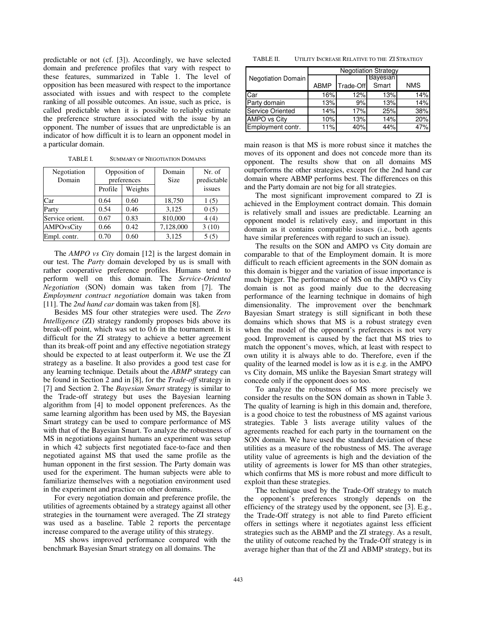predictable or not (cf. [3]). Accordingly, we have selected domain and preference profiles that vary with respect to these features, summarized in Table 1. The level of opposition has been measured with respect to the importance associated with issues and with respect to the complete ranking of all possible outcomes. An issue, such as price, is called predictable when it is possible to reliably estimate the preference structure associated with the issue by an opponent. The number of issues that are unpredictable is an indicator of how difficult it is to learn an opponent model in a particular domain.

TABLE I. SUMMARY OF NEGOTIATION DOMAINS

| Negotiation<br>Domain | Opposition of<br>preferences |         | Domain<br>Size |        |
|-----------------------|------------------------------|---------|----------------|--------|
|                       | Profile                      | Weights |                | issues |
| Car                   | 0.64                         | 0.60    | 18,750         | 1(5)   |
| Party                 | 0.54                         | 0.46    | 3,125          | 0(5)   |
| Service orient.       | 0.67                         | 0.83    | 810,000        | 4(4)   |
| <b>AMPOvsCity</b>     | 0.66                         | 0.42    | 7,128,000      | 3(10)  |
| Empl. contr.          | 0.70                         | 0.60    | 3,125          | 5(5)   |

The *AMPO vs City* domain [12] is the largest domain in our test. The *Party* domain developed by us is small with rather cooperative preference profiles. Humans tend to perform well on this domain. The *Service-Oriented Negotiation* (SON) domain was taken from [7]. The *Employment contract negotiation* domain was taken from [11]. The *2nd hand car* domain was taken from [8].

Besides MS four other strategies were used. The *Zero Intelligence* (ZI) strategy randomly proposes bids above its break-off point, which was set to 0.6 in the tournament. It is difficult for the ZI strategy to achieve a better agreement than its break-off point and any effective negotiation strategy should be expected to at least outperform it. We use the ZI strategy as a baseline. It also provides a good test case for any learning technique. Details about the *ABMP* strategy can be found in Section 2 and in [8], for the *Trade-off* strategy in [7] and Section 2. The *Bayesian Smart* strategy is similar to the Trade-off strategy but uses the Bayesian learning algorithm from [4] to model opponent preferences. As the same learning algorithm has been used by MS, the Bayesian Smart strategy can be used to compare performance of MS with that of the Bayesian Smart. To analyze the robustness of MS in negotiations against humans an experiment was setup in which 42 subjects first negotiated face-to-face and then negotiated against MS that used the same profile as the human opponent in the first session. The Party domain was used for the experiment. The human subjects were able to familiarize themselves with a negotiation environment used in the experiment and practice on other domains.

For every negotiation domain and preference profile, the utilities of agreements obtained by a strategy against all other strategies in the tournament were averaged. The ZI strategy was used as a baseline. Table 2 reports the percentage increase compared to the average utility of this strategy.

MS shows improved performance compared with the benchmark Bayesian Smart strategy on all domains. The

TABLE II. UTILITY INCREASE RELATIVE TO THE ZI STRATEGY

|                     | <b>Negotiation Strategy</b> |           |          |            |  |  |
|---------------------|-----------------------------|-----------|----------|------------|--|--|
| Negotiation Domain  |                             |           | Bayesian |            |  |  |
|                     | <b>ABMP</b>                 | Trade-Off | Smart    | <b>NMS</b> |  |  |
| Car                 | 16%                         | 12%       | 13%      | 14%        |  |  |
| Party domain        | 13%                         | 9%        | 13%      | 14%        |  |  |
| Service Oriented    | 14%l                        | 17%       | 25%      | 38%        |  |  |
| <b>AMPO vs City</b> | 10%                         | 13%       | 14%      | 20%        |  |  |
| Employment contr.   | 11%                         | 40%       | 44%      | 47%        |  |  |

main reason is that MS is more robust since it matches the moves of its opponent and does not concede more than its opponent. The results show that on all domains MS outperforms the other strategies, except for the 2nd hand car domain where ABMP performs best. The differences on this and the Party domain are not big for all strategies.

The most significant improvement compared to ZI is achieved in the Employment contract domain. This domain is relatively small and issues are predictable. Learning an opponent model is relatively easy, and important in this domain as it contains compatible issues (i.e., both agents have similar preferences with regard to such an issue).

The results on the SON and AMPO vs City domain are comparable to that of the Employment domain. It is more difficult to reach efficient agreements in the SON domain as this domain is bigger and the variation of issue importance is much bigger. The performance of MS on the AMPO vs City domain is not as good mainly due to the decreasing performance of the learning technique in domains of high dimensionality. The improvement over the benchmark Bayesian Smart strategy is still significant in both these domains which shows that MS is a robust strategy even when the model of the opponent's preferences is not very good. Improvement is caused by the fact that MS tries to match the opponent's moves, which, at least with respect to own utility it is always able to do. Therefore, even if the quality of the learned model is low as it is e.g. in the AMPO vs City domain, MS unlike the Bayesian Smart strategy will concede only if the opponent does so too.

To analyze the robustness of MS more precisely we consider the results on the SON domain as shown in Table 3. The quality of learning is high in this domain and, therefore, is a good choice to test the robustness of MS against various strategies. Table 3 lists average utility values of the agreements reached for each party in the tournament on the SON domain. We have used the standard deviation of these utilities as a measure of the robustness of MS. The average utility value of agreements is high and the deviation of the utility of agreements is lower for MS than other strategies, which confirms that MS is more robust and more difficult to exploit than these strategies.

The technique used by the Trade-Off strategy to match the opponent's preferences strongly depends on the efficiency of the strategy used by the opponent, see [3]. E.g., the Trade-Off strategy is not able to find Pareto efficient offers in settings where it negotiates against less efficient strategies such as the ABMP and the ZI strategy. As a result, the utility of outcome reached by the Trade-Off strategy is in average higher than that of the ZI and ABMP strategy, but its